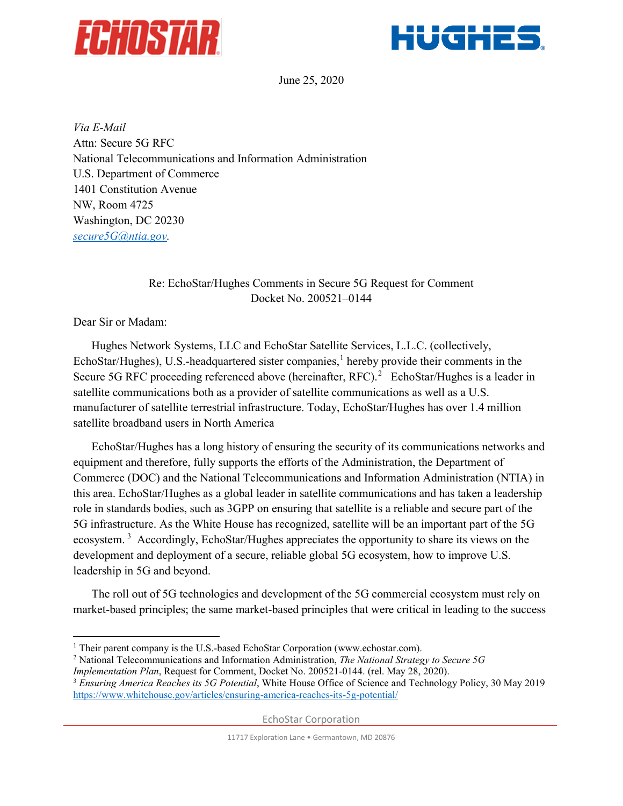



June 25, 2020

*Via E-Mail* Attn: Secure 5G RFC National Telecommunications and Information Administration U.S. Department of Commerce 1401 Constitution Avenue NW, Room 4725 Washington, DC 20230 *[secure5G@ntia.gov.](mailto:secure5G@ntia.gov)* 

## Re: EchoStar/Hughes Comments in Secure 5G Request for Comment Docket No. 200521–0144

Dear Sir or Madam:

l

Hughes Network Systems, LLC and EchoStar Satellite Services, L.L.C. (collectively, EchoStar/Hughes), U.S.-headquartered sister companies,<sup>[1](#page-0-0)</sup> hereby provide their comments in the Secure 5G RFC proceeding referenced above (hereinafter, RFC).<sup>[2](#page-0-1)</sup> EchoStar/Hughes is a leader in satellite communications both as a provider of satellite communications as well as a U.S. manufacturer of satellite terrestrial infrastructure. Today, EchoStar/Hughes has over 1.4 million satellite broadband users in North America

EchoStar/Hughes has a long history of ensuring the security of its communications networks and equipment and therefore, fully supports the efforts of the Administration, the Department of Commerce (DOC) and the National Telecommunications and Information Administration (NTIA) in this area. EchoStar/Hughes as a global leader in satellite communications and has taken a leadership role in standards bodies, such as 3GPP on ensuring that satellite is a reliable and secure part of the 5G infrastructure. As the White House has recognized, satellite will be an important part of the 5G ecosystem.<sup>[3](#page-0-2)</sup> Accordingly, EchoStar/Hughes appreciates the opportunity to share its views on the development and deployment of a secure, reliable global 5G ecosystem, how to improve U.S. leadership in 5G and beyond.

The roll out of 5G technologies and development of the 5G commercial ecosystem must rely on market-based principles; the same market-based principles that were critical in leading to the success

EchoStar Corporation

<span id="page-0-0"></span><sup>&</sup>lt;sup>1</sup> Their parent company is the U.S.-based EchoStar Corporation (www.echostar.com).

<span id="page-0-1"></span><sup>2</sup> National Telecommunications and Information Administration, *The National Strategy to Secure 5G Implementation Plan*, Request for Comment, Docket No. 200521-0144. (rel. May 28, 2020).

<span id="page-0-2"></span><sup>3</sup> *Ensuring America Reaches its 5G Potential*, White House Office of Science and Technology Policy, 30 May 2019 <https://www.whitehouse.gov/articles/ensuring-america-reaches-its-5g-potential/>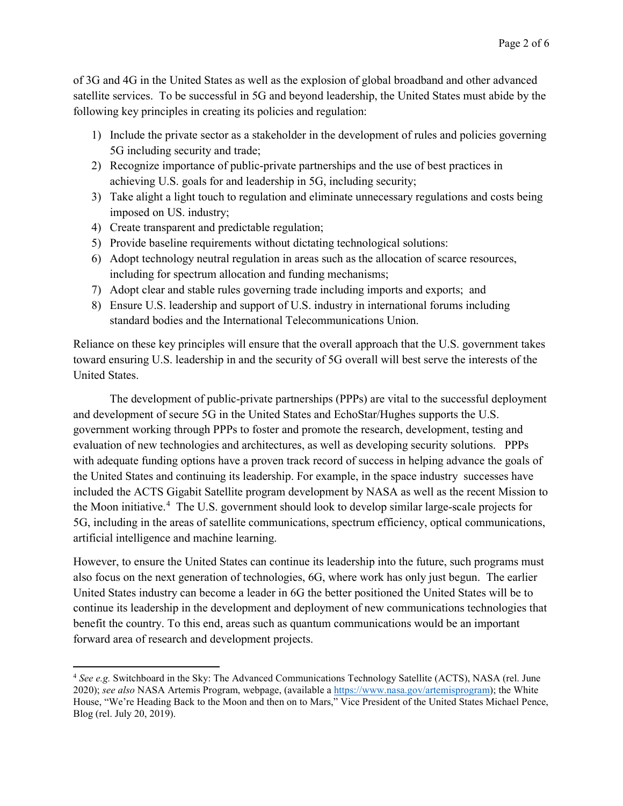of 3G and 4G in the United States as well as the explosion of global broadband and other advanced satellite services. To be successful in 5G and beyond leadership, the United States must abide by the following key principles in creating its policies and regulation:

- 1) Include the private sector as a stakeholder in the development of rules and policies governing 5G including security and trade;
- 2) Recognize importance of public-private partnerships and the use of best practices in achieving U.S. goals for and leadership in 5G, including security;
- 3) Take alight a light touch to regulation and eliminate unnecessary regulations and costs being imposed on US. industry;
- 4) Create transparent and predictable regulation;

 $\overline{\phantom{a}}$ 

- 5) Provide baseline requirements without dictating technological solutions:
- 6) Adopt technology neutral regulation in areas such as the allocation of scarce resources, including for spectrum allocation and funding mechanisms;
- 7) Adopt clear and stable rules governing trade including imports and exports; and
- 8) Ensure U.S. leadership and support of U.S. industry in international forums including standard bodies and the International Telecommunications Union.

Reliance on these key principles will ensure that the overall approach that the U.S. government takes toward ensuring U.S. leadership in and the security of 5G overall will best serve the interests of the United States.

The development of public-private partnerships (PPPs) are vital to the successful deployment and development of secure 5G in the United States and EchoStar/Hughes supports the U.S. government working through PPPs to foster and promote the research, development, testing and evaluation of new technologies and architectures, as well as developing security solutions. PPPs with adequate funding options have a proven track record of success in helping advance the goals of the United States and continuing its leadership. For example, in the space industry successes have included the ACTS Gigabit Satellite program development by NASA as well as the recent Mission to the Moon initiative.<sup>[4](#page-1-0)</sup> The U.S. government should look to develop similar large-scale projects for 5G, including in the areas of satellite communications, spectrum efficiency, optical communications, artificial intelligence and machine learning.

However, to ensure the United States can continue its leadership into the future, such programs must also focus on the next generation of technologies, 6G, where work has only just begun. The earlier United States industry can become a leader in 6G the better positioned the United States will be to continue its leadership in the development and deployment of new communications technologies that benefit the country. To this end, areas such as quantum communications would be an important forward area of research and development projects.

<span id="page-1-0"></span><sup>4</sup> *See e.g.* Switchboard in the Sky: The Advanced Communications Technology Satellite (ACTS), NASA (rel. June 2020); *see also* NASA Artemis Program, webpage, (available a [https://www.nasa.gov/artemisprogram\)](https://www.nasa.gov/artemisprogram); the White House, "We're Heading Back to the Moon and then on to Mars," Vice President of the United States Michael Pence, Blog (rel. July 20, 2019).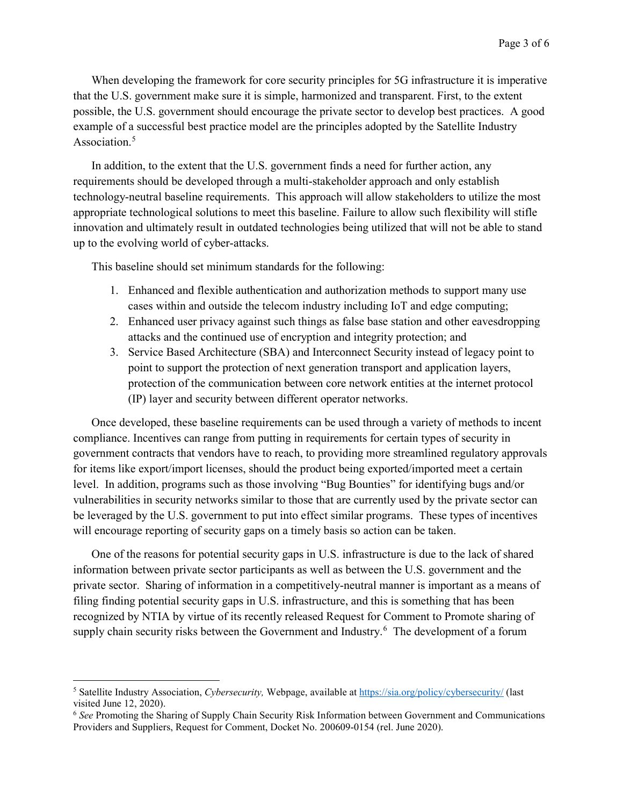When developing the framework for core security principles for 5G infrastructure it is imperative that the U.S. government make sure it is simple, harmonized and transparent. First, to the extent possible, the U.S. government should encourage the private sector to develop best practices. A good example of a successful best practice model are the principles adopted by the Satellite Industry Association.<sup>[5](#page-2-0)</sup>

In addition, to the extent that the U.S. government finds a need for further action, any requirements should be developed through a multi-stakeholder approach and only establish technology-neutral baseline requirements. This approach will allow stakeholders to utilize the most appropriate technological solutions to meet this baseline. Failure to allow such flexibility will stifle innovation and ultimately result in outdated technologies being utilized that will not be able to stand up to the evolving world of cyber-attacks.

This baseline should set minimum standards for the following:

- 1. Enhanced and flexible authentication and authorization methods to support many use cases within and outside the telecom industry including IoT and edge computing;
- 2. Enhanced user privacy against such things as false base station and other eavesdropping attacks and the continued use of encryption and integrity protection; and
- 3. Service Based Architecture (SBA) and Interconnect Security instead of legacy point to point to support the protection of next generation transport and application layers, protection of the communication between core network entities at the internet protocol (IP) layer and security between different operator networks.

Once developed, these baseline requirements can be used through a variety of methods to incent compliance. Incentives can range from putting in requirements for certain types of security in government contracts that vendors have to reach, to providing more streamlined regulatory approvals for items like export/import licenses, should the product being exported/imported meet a certain level. In addition, programs such as those involving "Bug Bounties" for identifying bugs and/or vulnerabilities in security networks similar to those that are currently used by the private sector can be leveraged by the U.S. government to put into effect similar programs. These types of incentives will encourage reporting of security gaps on a timely basis so action can be taken.

One of the reasons for potential security gaps in U.S. infrastructure is due to the lack of shared information between private sector participants as well as between the U.S. government and the private sector. Sharing of information in a competitively-neutral manner is important as a means of filing finding potential security gaps in U.S. infrastructure, and this is something that has been recognized by NTIA by virtue of its recently released Request for Comment to Promote sharing of supply chain security risks between the Government and Industry.<sup>[6](#page-2-1)</sup> The development of a forum

l

<span id="page-2-0"></span><sup>5</sup> Satellite Industry Association, *Cybersecurity,* Webpage, available at <https://sia.org/policy/cybersecurity/> (last visited June 12, 2020).

<span id="page-2-1"></span><sup>6</sup> *See* Promoting the Sharing of Supply Chain Security Risk Information between Government and Communications Providers and Suppliers, Request for Comment, Docket No. 200609-0154 (rel. June 2020).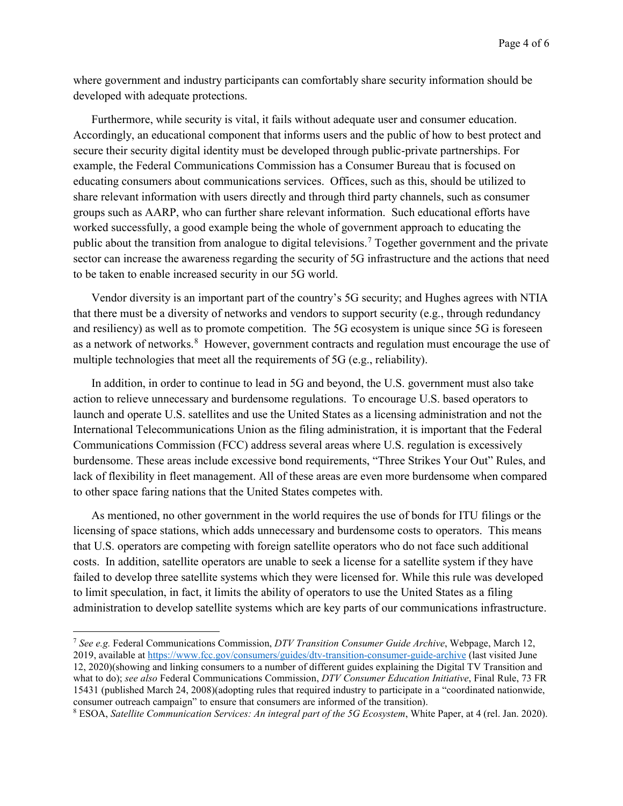where government and industry participants can comfortably share security information should be developed with adequate protections.

Furthermore, while security is vital, it fails without adequate user and consumer education. Accordingly, an educational component that informs users and the public of how to best protect and secure their security digital identity must be developed through public-private partnerships. For example, the Federal Communications Commission has a Consumer Bureau that is focused on educating consumers about communications services. Offices, such as this, should be utilized to share relevant information with users directly and through third party channels, such as consumer groups such as AARP, who can further share relevant information. Such educational efforts have worked successfully, a good example being the whole of government approach to educating the public about the transition from analogue to digital televisions.[7](#page-3-0) Together government and the private sector can increase the awareness regarding the security of 5G infrastructure and the actions that need to be taken to enable increased security in our 5G world.

Vendor diversity is an important part of the country's 5G security; and Hughes agrees with NTIA that there must be a diversity of networks and vendors to support security (e.g., through redundancy and resiliency) as well as to promote competition. The 5G ecosystem is unique since 5G is foreseen as a network of networks.<sup>[8](#page-3-1)</sup> However, government contracts and regulation must encourage the use of multiple technologies that meet all the requirements of 5G (e.g., reliability).

In addition, in order to continue to lead in 5G and beyond, the U.S. government must also take action to relieve unnecessary and burdensome regulations. To encourage U.S. based operators to launch and operate U.S. satellites and use the United States as a licensing administration and not the International Telecommunications Union as the filing administration, it is important that the Federal Communications Commission (FCC) address several areas where U.S. regulation is excessively burdensome. These areas include excessive bond requirements, "Three Strikes Your Out" Rules, and lack of flexibility in fleet management. All of these areas are even more burdensome when compared to other space faring nations that the United States competes with.

As mentioned, no other government in the world requires the use of bonds for ITU filings or the licensing of space stations, which adds unnecessary and burdensome costs to operators. This means that U.S. operators are competing with foreign satellite operators who do not face such additional costs. In addition, satellite operators are unable to seek a license for a satellite system if they have failed to develop three satellite systems which they were licensed for. While this rule was developed to limit speculation, in fact, it limits the ability of operators to use the United States as a filing administration to develop satellite systems which are key parts of our communications infrastructure.

l

<span id="page-3-0"></span><sup>7</sup> *See e.g.* Federal Communications Commission, *DTV Transition Consumer Guide Archive*, Webpage, March 12, 2019, available at<https://www.fcc.gov/consumers/guides/dtv-transition-consumer-guide-archive> (last visited June 12, 2020)(showing and linking consumers to a number of different guides explaining the Digital TV Transition and what to do); *see also* Federal Communications Commission, *DTV Consumer Education Initiative*, Final Rule, 73 FR 15431 (published March 24, 2008)(adopting rules that required industry to participate in a "coordinated nationwide, consumer outreach campaign" to ensure that consumers are informed of the transition).

<span id="page-3-1"></span><sup>8</sup> ESOA, *Satellite Communication Services: An integral part of the 5G Ecosystem*, White Paper, at 4 (rel. Jan. 2020).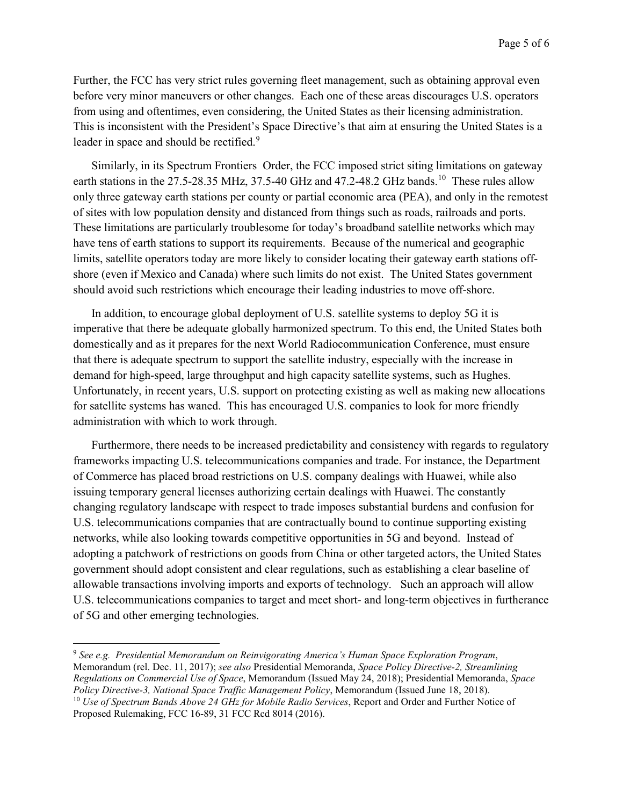Further, the FCC has very strict rules governing fleet management, such as obtaining approval even before very minor maneuvers or other changes. Each one of these areas discourages U.S. operators from using and oftentimes, even considering, the United States as their licensing administration. This is inconsistent with the President's Space Directive's that aim at ensuring the United States is a leader in space and should be rectified.<sup>[9](#page-4-0)</sup>

Similarly, in its Spectrum Frontiers Order, the FCC imposed strict siting limitations on gateway earth stations in the 27.5-28.35 MHz, 37.5-40 GHz and 47.2-48.2 GHz bands.<sup>[10](#page-4-1)</sup> These rules allow only three gateway earth stations per county or partial economic area (PEA), and only in the remotest of sites with low population density and distanced from things such as roads, railroads and ports. These limitations are particularly troublesome for today's broadband satellite networks which may have tens of earth stations to support its requirements. Because of the numerical and geographic limits, satellite operators today are more likely to consider locating their gateway earth stations offshore (even if Mexico and Canada) where such limits do not exist. The United States government should avoid such restrictions which encourage their leading industries to move off-shore.

In addition, to encourage global deployment of U.S. satellite systems to deploy 5G it is imperative that there be adequate globally harmonized spectrum. To this end, the United States both domestically and as it prepares for the next World Radiocommunication Conference, must ensure that there is adequate spectrum to support the satellite industry, especially with the increase in demand for high-speed, large throughput and high capacity satellite systems, such as Hughes. Unfortunately, in recent years, U.S. support on protecting existing as well as making new allocations for satellite systems has waned. This has encouraged U.S. companies to look for more friendly administration with which to work through.

Furthermore, there needs to be increased predictability and consistency with regards to regulatory frameworks impacting U.S. telecommunications companies and trade. For instance, the Department of Commerce has placed broad restrictions on U.S. company dealings with Huawei, while also issuing temporary general licenses authorizing certain dealings with Huawei. The constantly changing regulatory landscape with respect to trade imposes substantial burdens and confusion for U.S. telecommunications companies that are contractually bound to continue supporting existing networks, while also looking towards competitive opportunities in 5G and beyond. Instead of adopting a patchwork of restrictions on goods from China or other targeted actors, the United States government should adopt consistent and clear regulations, such as establishing a clear baseline of allowable transactions involving imports and exports of technology. Such an approach will allow U.S. telecommunications companies to target and meet short- and long-term objectives in furtherance of 5G and other emerging technologies.

l

<span id="page-4-1"></span><span id="page-4-0"></span><sup>9</sup> *See e.g. Presidential Memorandum on Reinvigorating America's Human Space Exploration Program*, Memorandum (rel. Dec. 11, 2017); *see also* Presidential Memoranda, *Space Policy Directive-2, Streamlining Regulations on Commercial Use of Space*, Memorandum (Issued May 24, 2018); Presidential Memoranda, *Space*  <sup>10</sup> Use of Spectrum Bands Above 24 GHz for Mobile Radio Services, Report and Order and Further Notice of Proposed Rulemaking, FCC 16-89, 31 FCC Rcd 8014 (2016).